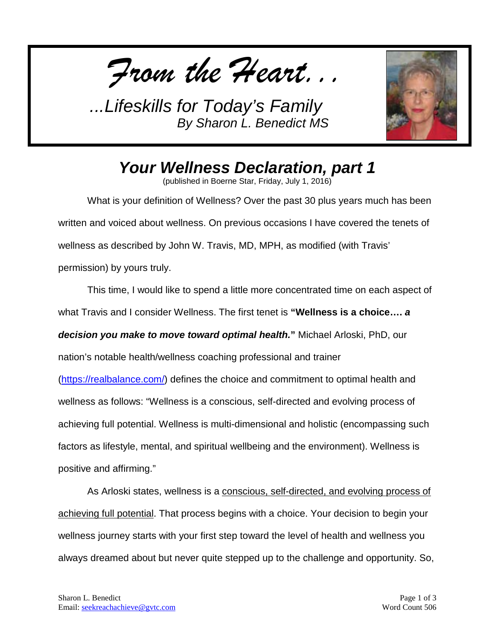*From the Heart...*



*Your Wellness Declaration, part 1*

(published in Boerne Star, Friday, July 1, 2016)

What is your definition of Wellness? Over the past 30 plus years much has been written and voiced about wellness. On previous occasions I have covered the tenets of wellness as described by John W. Travis, MD, MPH, as modified (with Travis' permission) by yours truly.

This time, I would like to spend a little more concentrated time on each aspect of what Travis and I consider Wellness. The first tenet is **"Wellness is a choice….** *a decision you make to move toward optimal health.***"** Michael Arloski, PhD, our nation's notable health/wellness coaching professional and trainer

[\(https://realbalance.com/\)](https://realbalance.com/) defines the choice and commitment to optimal health and wellness as follows: "Wellness is a conscious, self-directed and evolving process of achieving full potential. Wellness is multi-dimensional and holistic (encompassing such factors as lifestyle, mental, and spiritual wellbeing and the environment). Wellness is positive and affirming."

As Arloski states, wellness is a conscious, self-directed, and evolving process of achieving full potential. That process begins with a choice. Your decision to begin your wellness journey starts with your first step toward the level of health and wellness you always dreamed about but never quite stepped up to the challenge and opportunity. So,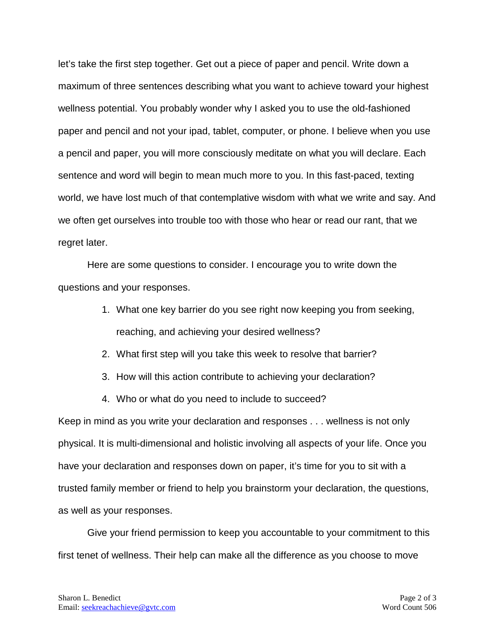let's take the first step together. Get out a piece of paper and pencil. Write down a maximum of three sentences describing what you want to achieve toward your highest wellness potential. You probably wonder why I asked you to use the old-fashioned paper and pencil and not your ipad, tablet, computer, or phone. I believe when you use a pencil and paper, you will more consciously meditate on what you will declare. Each sentence and word will begin to mean much more to you. In this fast-paced, texting world, we have lost much of that contemplative wisdom with what we write and say. And we often get ourselves into trouble too with those who hear or read our rant, that we regret later.

Here are some questions to consider. I encourage you to write down the questions and your responses.

- 1. What one key barrier do you see right now keeping you from seeking, reaching, and achieving your desired wellness?
- 2. What first step will you take this week to resolve that barrier?
- 3. How will this action contribute to achieving your declaration?
- 4. Who or what do you need to include to succeed?

Keep in mind as you write your declaration and responses . . . wellness is not only physical. It is multi-dimensional and holistic involving all aspects of your life. Once you have your declaration and responses down on paper, it's time for you to sit with a trusted family member or friend to help you brainstorm your declaration, the questions, as well as your responses.

Give your friend permission to keep you accountable to your commitment to this first tenet of wellness. Their help can make all the difference as you choose to move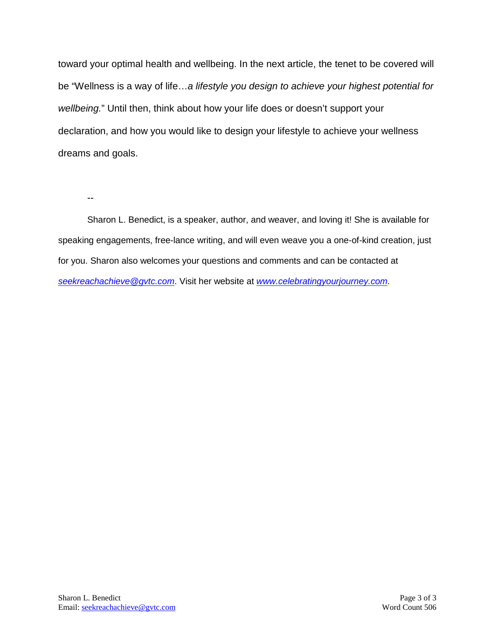toward your optimal health and wellbeing. In the next article, the tenet to be covered will be "Wellness is a way of life…*a lifestyle you design to achieve your highest potential for wellbeing.*" Until then, think about how your life does or doesn't support your declaration, and how you would like to design your lifestyle to achieve your wellness dreams and goals.

--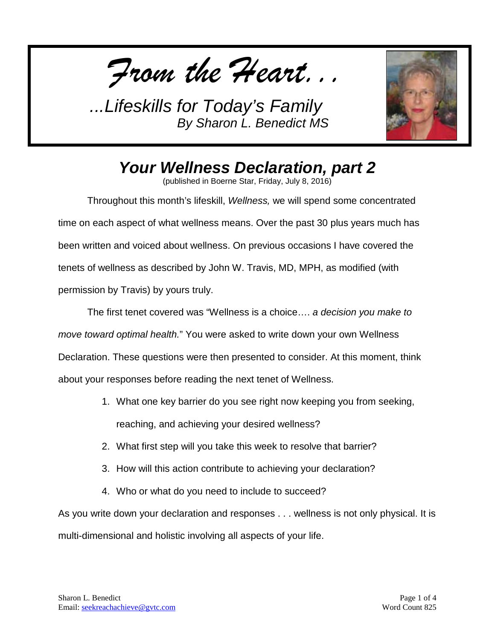*From the Heart...*



## *Your Wellness Declaration, part 2*

(published in Boerne Star, Friday, July 8, 2016)

Throughout this month's lifeskill, *Wellness,* we will spend some concentrated time on each aspect of what wellness means. Over the past 30 plus years much has been written and voiced about wellness. On previous occasions I have covered the tenets of wellness as described by John W. Travis, MD, MPH, as modified (with permission by Travis) by yours truly.

The first tenet covered was "Wellness is a choice…. *a decision you make to move toward optimal health.*" You were asked to write down your own Wellness Declaration. These questions were then presented to consider. At this moment, think about your responses before reading the next tenet of Wellness.

- 1. What one key barrier do you see right now keeping you from seeking, reaching, and achieving your desired wellness?
- 2. What first step will you take this week to resolve that barrier?
- 3. How will this action contribute to achieving your declaration?
- 4. Who or what do you need to include to succeed?

As you write down your declaration and responses . . . wellness is not only physical. It is multi-dimensional and holistic involving all aspects of your life.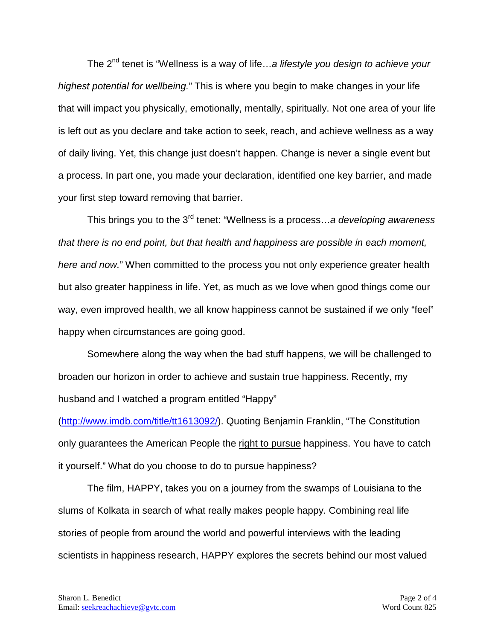The 2nd tenet is "Wellness is a way of life…*a lifestyle you design to achieve your highest potential for wellbeing.*" This is where you begin to make changes in your life that will impact you physically, emotionally, mentally, spiritually. Not one area of your life is left out as you declare and take action to seek, reach, and achieve wellness as a way of daily living. Yet, this change just doesn't happen. Change is never a single event but a process. In part one, you made your declaration, identified one key barrier, and made your first step toward removing that barrier.

This brings you to the 3<sup>rd</sup> tenet: "Wellness is a process…*a developing awareness that there is no end point, but that health and happiness are possible in each moment, here and now.*" When committed to the process you not only experience greater health but also greater happiness in life. Yet, as much as we love when good things come our way, even improved health, we all know happiness cannot be sustained if we only "feel" happy when circumstances are going good.

Somewhere along the way when the bad stuff happens, we will be challenged to broaden our horizon in order to achieve and sustain true happiness. Recently, my husband and I watched a program entitled "Happy"

([http://www.imdb.com/title/tt1613092/\)](http://www.imdb.com/title/tt1613092/). Quoting Benjamin Franklin, "The Constitution only guarantees the American People the right to pursue happiness. You have to catch it yourself." What do you choose to do to pursue happiness?

The film, HAPPY, takes you on a journey from the swamps of Louisiana to the slums of Kolkata in search of what really makes people happy. Combining real life stories of people from around the world and powerful interviews with the leading scientists in happiness research, HAPPY explores the secrets behind our most valued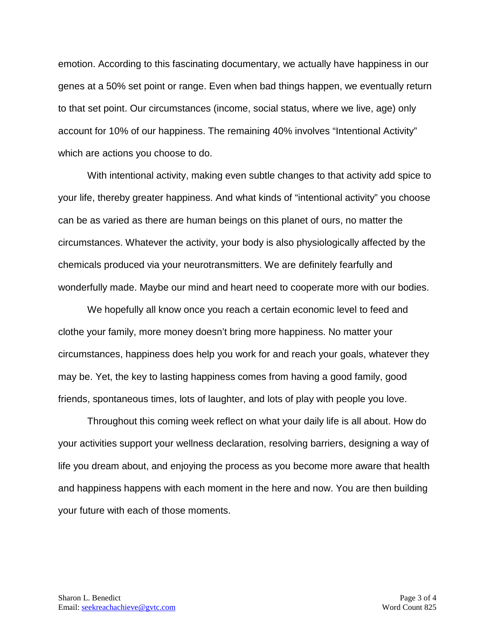emotion. According to this fascinating documentary, we actually have happiness in our genes at a 50% set point or range. Even when bad things happen, we eventually return to that set point. Our circumstances (income, social status, where we live, age) only account for 10% of our happiness. The remaining 40% involves "Intentional Activity" which are actions you choose to do.

With intentional activity, making even subtle changes to that activity add spice to your life, thereby greater happiness. And what kinds of "intentional activity" you choose can be as varied as there are human beings on this planet of ours, no matter the circumstances. Whatever the activity, your body is also physiologically affected by the chemicals produced via your neurotransmitters. We are definitely fearfully and wonderfully made. Maybe our mind and heart need to cooperate more with our bodies.

We hopefully all know once you reach a certain economic level to feed and clothe your family, more money doesn't bring more happiness. No matter your circumstances, happiness does help you work for and reach your goals, whatever they may be. Yet, the key to lasting happiness comes from having a good family, good friends, spontaneous times, lots of laughter, and lots of play with people you love.

Throughout this coming week reflect on what your daily life is all about. How do your activities support your wellness declaration, resolving barriers, designing a way of life you dream about, and enjoying the process as you become more aware that health and happiness happens with each moment in the here and now. You are then building your future with each of those moments.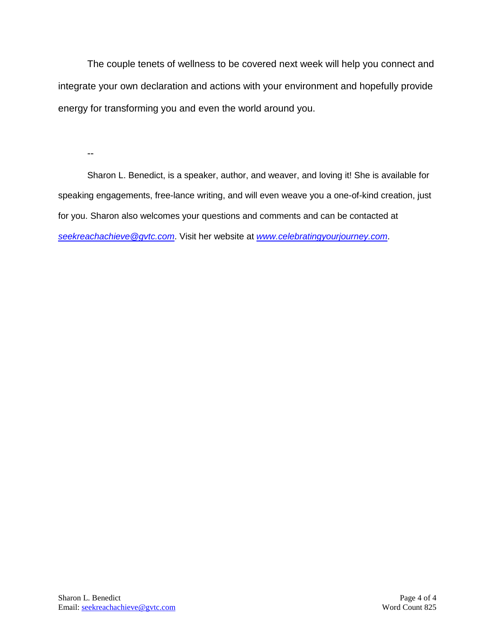The couple tenets of wellness to be covered next week will help you connect and integrate your own declaration and actions with your environment and hopefully provide energy for transforming you and even the world around you.

--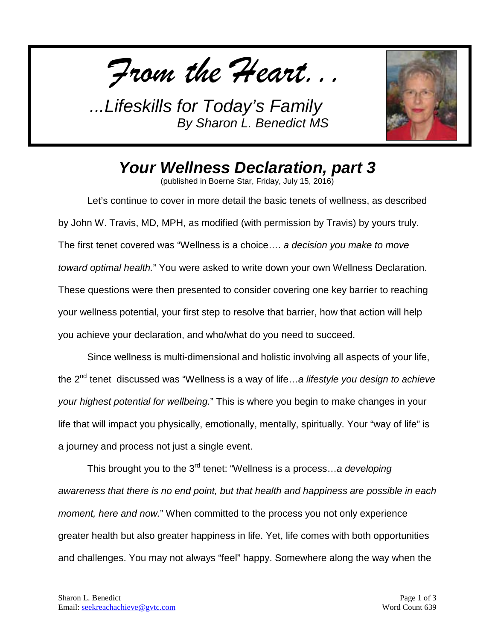*From the Heart...*



## *Your Wellness Declaration, part 3*

(published in Boerne Star, Friday, July 15, 2016)

Let's continue to cover in more detail the basic tenets of wellness, as described by John W. Travis, MD, MPH, as modified (with permission by Travis) by yours truly. The first tenet covered was "Wellness is a choice…. *a decision you make to move toward optimal health.*" You were asked to write down your own Wellness Declaration. These questions were then presented to consider covering one key barrier to reaching your wellness potential, your first step to resolve that barrier, how that action will help you achieve your declaration, and who/what do you need to succeed.

Since wellness is multi-dimensional and holistic involving all aspects of your life, the 2nd tenet discussed was "Wellness is a way of life…*a lifestyle you design to achieve your highest potential for wellbeing.*" This is where you begin to make changes in your life that will impact you physically, emotionally, mentally, spiritually. Your "way of life" is a journey and process not just a single event.

This brought you to the 3<sup>rd</sup> tenet: "Wellness is a process…*a developing awareness that there is no end point, but that health and happiness are possible in each moment, here and now.*" When committed to the process you not only experience greater health but also greater happiness in life. Yet, life comes with both opportunities and challenges. You may not always "feel" happy. Somewhere along the way when the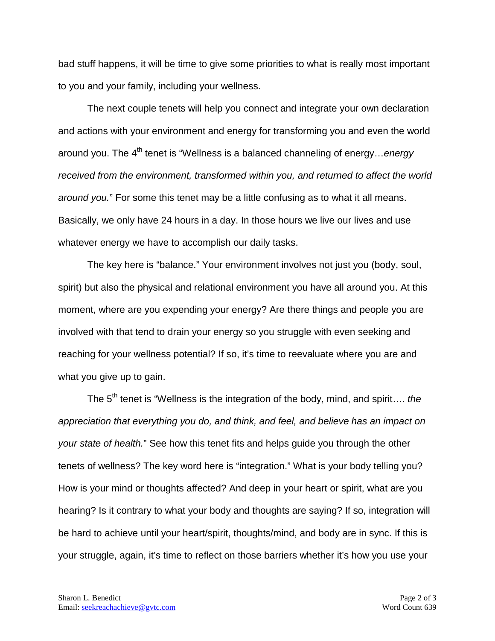bad stuff happens, it will be time to give some priorities to what is really most important to you and your family, including your wellness.

The next couple tenets will help you connect and integrate your own declaration and actions with your environment and energy for transforming you and even the world around you. The 4<sup>th</sup> tenet is "Wellness is a balanced channeling of energy…*energy received from the environment, transformed within you, and returned to affect the world around you.*" For some this tenet may be a little confusing as to what it all means. Basically, we only have 24 hours in a day. In those hours we live our lives and use whatever energy we have to accomplish our daily tasks.

The key here is "balance." Your environment involves not just you (body, soul, spirit) but also the physical and relational environment you have all around you. At this moment, where are you expending your energy? Are there things and people you are involved with that tend to drain your energy so you struggle with even seeking and reaching for your wellness potential? If so, it's time to reevaluate where you are and what you give up to gain.

The 5<sup>th</sup> tenet is "Wellness is the integration of the body, mind, and spirit.... *the appreciation that everything you do, and think, and feel, and believe has an impact on your state of health.*" See how this tenet fits and helps guide you through the other tenets of wellness? The key word here is "integration." What is your body telling you? How is your mind or thoughts affected? And deep in your heart or spirit, what are you hearing? Is it contrary to what your body and thoughts are saying? If so, integration will be hard to achieve until your heart/spirit, thoughts/mind, and body are in sync. If this is your struggle, again, it's time to reflect on those barriers whether it's how you use your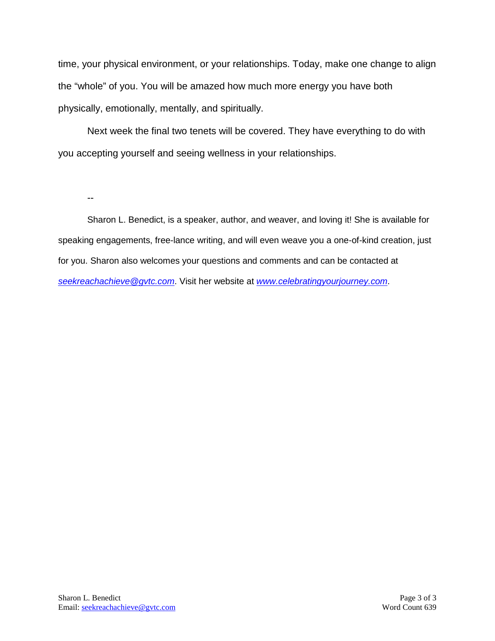time, your physical environment, or your relationships. Today, make one change to align the "whole" of you. You will be amazed how much more energy you have both physically, emotionally, mentally, and spiritually.

Next week the final two tenets will be covered. They have everything to do with you accepting yourself and seeing wellness in your relationships.

--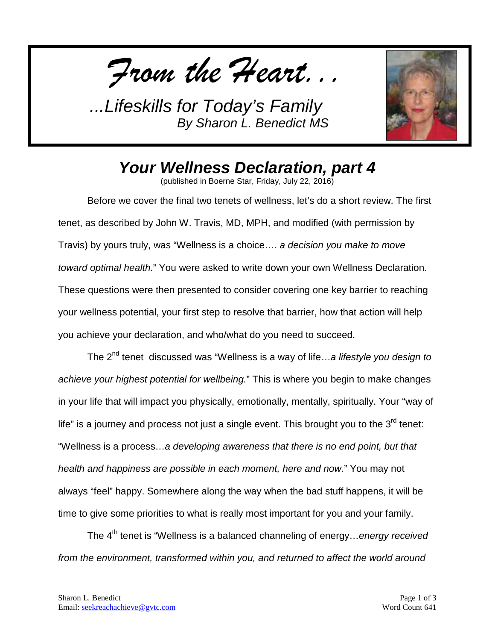*From the Heart...*



## *Your Wellness Declaration, part 4*

(published in Boerne Star, Friday, July 22, 2016)

Before we cover the final two tenets of wellness, let's do a short review. The first tenet, as described by John W. Travis, MD, MPH, and modified (with permission by Travis) by yours truly, was "Wellness is a choice…. *a decision you make to move toward optimal health.*" You were asked to write down your own Wellness Declaration. These questions were then presented to consider covering one key barrier to reaching your wellness potential, your first step to resolve that barrier, how that action will help you achieve your declaration, and who/what do you need to succeed.

The 2nd tenet discussed was "Wellness is a way of life…*a lifestyle you design to achieve your highest potential for wellbeing.*" This is where you begin to make changes in your life that will impact you physically, emotionally, mentally, spiritually. Your "way of life" is a journey and process not just a single event. This brought you to the  $3<sup>rd</sup>$  tenet: "Wellness is a process…*a developing awareness that there is no end point, but that health and happiness are possible in each moment, here and now.*" You may not always "feel" happy. Somewhere along the way when the bad stuff happens, it will be time to give some priorities to what is really most important for you and your family.

The 4<sup>th</sup> tenet is "Wellness is a balanced channeling of energy...*energy received from the environment, transformed within you, and returned to affect the world around*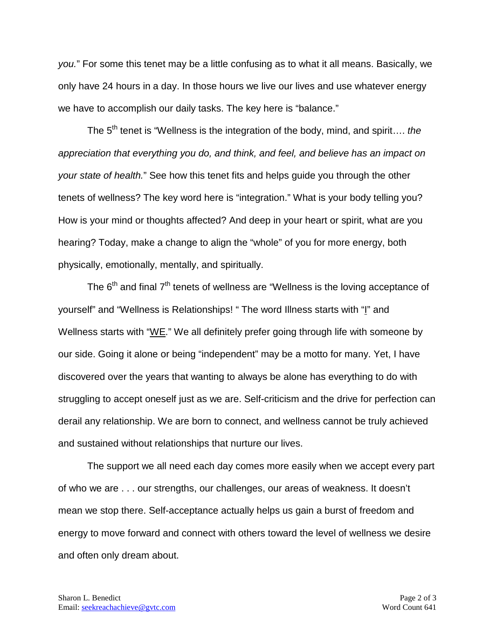*you.*" For some this tenet may be a little confusing as to what it all means. Basically, we only have 24 hours in a day. In those hours we live our lives and use whatever energy we have to accomplish our daily tasks. The key here is "balance."

The 5<sup>th</sup> tenet is "Wellness is the integration of the body, mind, and spirit.... the *appreciation that everything you do, and think, and feel, and believe has an impact on your state of health.*" See how this tenet fits and helps guide you through the other tenets of wellness? The key word here is "integration." What is your body telling you? How is your mind or thoughts affected? And deep in your heart or spirit, what are you hearing? Today, make a change to align the "whole" of you for more energy, both physically, emotionally, mentally, and spiritually.

The 6<sup>th</sup> and final 7<sup>th</sup> tenets of wellness are "Wellness is the loving acceptance of yourself" and "Wellness is Relationships! " The word Illness starts with "I" and Wellness starts with "<u>WE</u>." We all definitely prefer going through life with someone by our side. Going it alone or being "independent" may be a motto for many. Yet, I have discovered over the years that wanting to always be alone has everything to do with struggling to accept oneself just as we are. Self-criticism and the drive for perfection can derail any relationship. We are born to connect, and wellness cannot be truly achieved and sustained without relationships that nurture our lives.

The support we all need each day comes more easily when we accept every part of who we are . . . our strengths, our challenges, our areas of weakness. It doesn't mean we stop there. Self-acceptance actually helps us gain a burst of freedom and energy to move forward and connect with others toward the level of wellness we desire and often only dream about.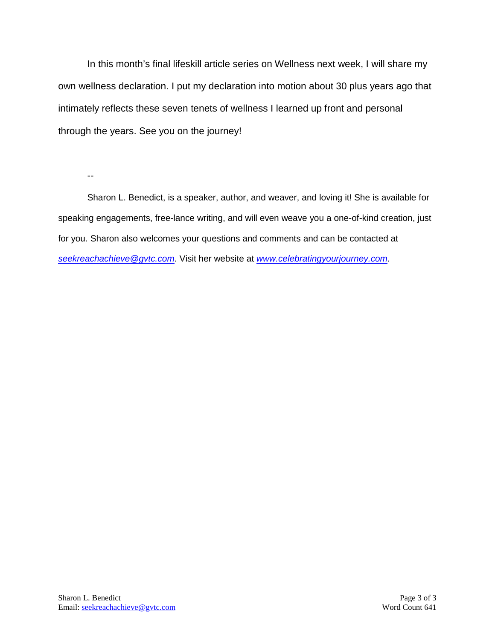In this month's final lifeskill article series on Wellness next week, I will share my own wellness declaration. I put my declaration into motion about 30 plus years ago that intimately reflects these seven tenets of wellness I learned up front and personal through the years. See you on the journey!

--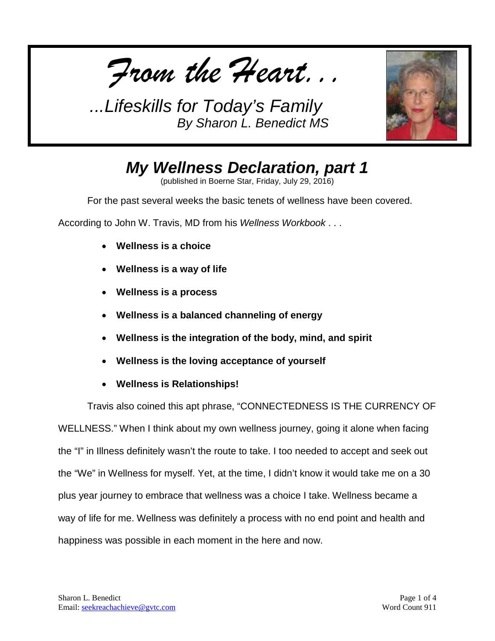*From the Heart...*



## *My Wellness Declaration, part 1*

(published in Boerne Star, Friday, July 29, 2016)

For the past several weeks the basic tenets of wellness have been covered.

According to John W. Travis, MD from his *Wellness Workbook* . . .

- **Wellness is a choice**
- **Wellness is a way of life**
- **Wellness is a process**
- **Wellness is a balanced channeling of energy**
- **Wellness is the integration of the body, mind, and spirit**
- **Wellness is the loving acceptance of yourself**
- **Wellness is Relationships!**

Travis also coined this apt phrase, "CONNECTEDNESS IS THE CURRENCY OF WELLNESS." When I think about my own wellness journey, going it alone when facing the "I" in Illness definitely wasn't the route to take. I too needed to accept and seek out the "We" in Wellness for myself. Yet, at the time, I didn't know it would take me on a 30 plus year journey to embrace that wellness was a choice I take. Wellness became a way of life for me. Wellness was definitely a process with no end point and health and happiness was possible in each moment in the here and now.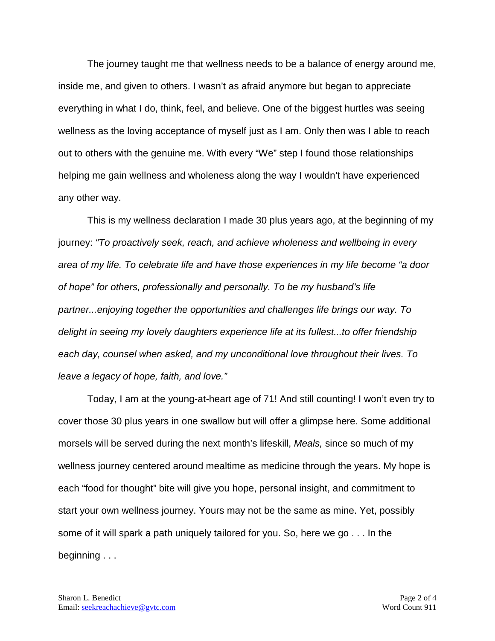The journey taught me that wellness needs to be a balance of energy around me, inside me, and given to others. I wasn't as afraid anymore but began to appreciate everything in what I do, think, feel, and believe. One of the biggest hurtles was seeing wellness as the loving acceptance of myself just as I am. Only then was I able to reach out to others with the genuine me. With every "We" step I found those relationships helping me gain wellness and wholeness along the way I wouldn't have experienced any other way.

This is my wellness declaration I made 30 plus years ago, at the beginning of my journey: *"To proactively seek, reach, and achieve wholeness and wellbeing in every area of my life. To celebrate life and have those experiences in my life become "a door of hope" for others, professionally and personally. To be my husband's life partner...enjoying together the opportunities and challenges life brings our way. To delight in seeing my lovely daughters experience life at its fullest...to offer friendship each day, counsel when asked, and my unconditional love throughout their lives. To leave a legacy of hope, faith, and love."*

Today, I am at the young-at-heart age of 71! And still counting! I won't even try to cover those 30 plus years in one swallow but will offer a glimpse here. Some additional morsels will be served during the next month's lifeskill, *Meals,* since so much of my wellness journey centered around mealtime as medicine through the years. My hope is each "food for thought" bite will give you hope, personal insight, and commitment to start your own wellness journey. Yours may not be the same as mine. Yet, possibly some of it will spark a path uniquely tailored for you. So, here we go . . . In the beginning . . .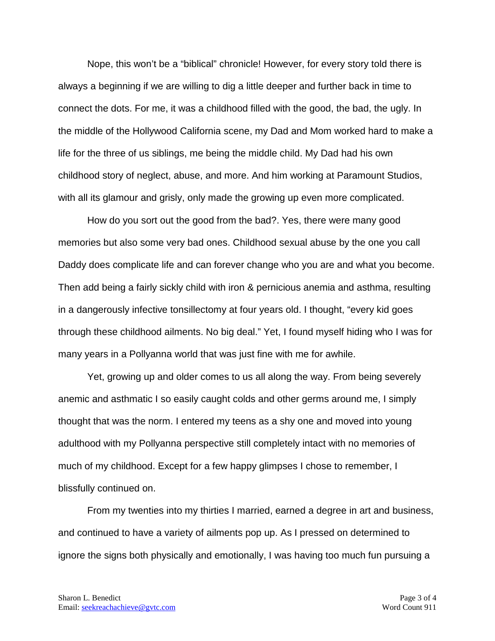Nope, this won't be a "biblical" chronicle! However, for every story told there is always a beginning if we are willing to dig a little deeper and further back in time to connect the dots. For me, it was a childhood filled with the good, the bad, the ugly. In the middle of the Hollywood California scene, my Dad and Mom worked hard to make a life for the three of us siblings, me being the middle child. My Dad had his own childhood story of neglect, abuse, and more. And him working at Paramount Studios, with all its glamour and grisly, only made the growing up even more complicated.

How do you sort out the good from the bad?. Yes, there were many good memories but also some very bad ones. Childhood sexual abuse by the one you call Daddy does complicate life and can forever change who you are and what you become. Then add being a fairly sickly child with iron & pernicious anemia and asthma, resulting in a dangerously infective tonsillectomy at four years old. I thought, "every kid goes through these childhood ailments. No big deal." Yet, I found myself hiding who I was for many years in a Pollyanna world that was just fine with me for awhile.

Yet, growing up and older comes to us all along the way. From being severely anemic and asthmatic I so easily caught colds and other germs around me, I simply thought that was the norm. I entered my teens as a shy one and moved into young adulthood with my Pollyanna perspective still completely intact with no memories of much of my childhood. Except for a few happy glimpses I chose to remember, I blissfully continued on.

From my twenties into my thirties I married, earned a degree in art and business, and continued to have a variety of ailments pop up. As I pressed on determined to ignore the signs both physically and emotionally, I was having too much fun pursuing a